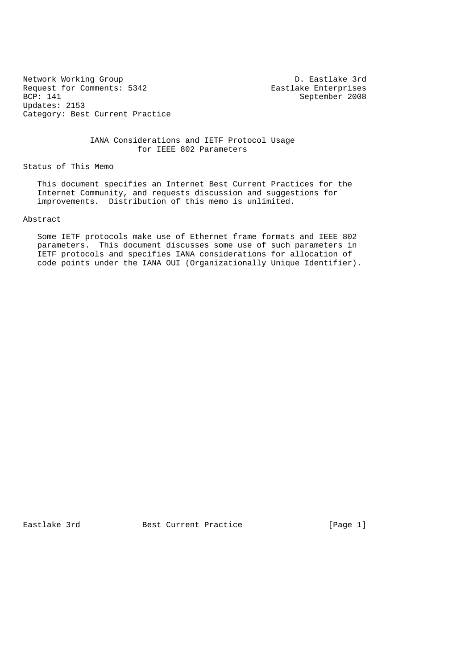Network Working Group<br>
Request for Comments: 5342 Teastlake Enterprises Request for Comments: 5342<br>BCP: 141 Updates: 2153 Category: Best Current Practice

September 2008

 IANA Considerations and IETF Protocol Usage for IEEE 802 Parameters

Status of This Memo

 This document specifies an Internet Best Current Practices for the Internet Community, and requests discussion and suggestions for improvements. Distribution of this memo is unlimited.

#### Abstract

 Some IETF protocols make use of Ethernet frame formats and IEEE 802 parameters. This document discusses some use of such parameters in IETF protocols and specifies IANA considerations for allocation of code points under the IANA OUI (Organizationally Unique Identifier).

Eastlake 3rd **Best Current Practice** [Page 1]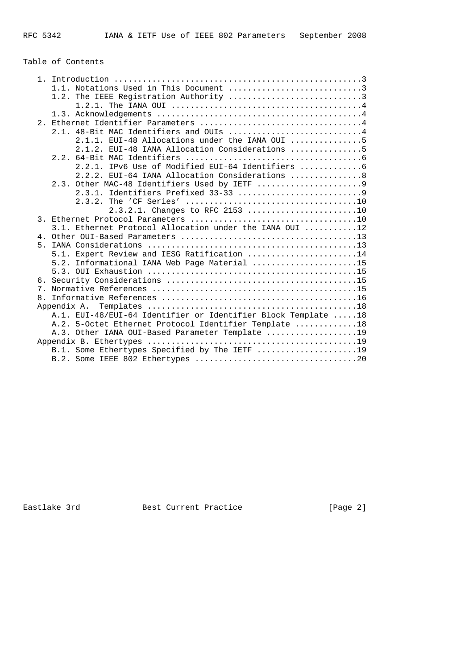# Table of Contents

|                | 1.1. Notations Used in This Document 3                        |
|----------------|---------------------------------------------------------------|
|                | 1.2. The IEEE Registration Authority 3                        |
|                |                                                               |
|                |                                                               |
|                |                                                               |
|                | 2.1. 48-Bit MAC Identifiers and OUIs 4                        |
|                | 2.1.1. EUI-48 Allocations under the IANA OUI 5                |
|                | 2.1.2. EUI-48 IANA Allocation Considerations 5                |
|                |                                                               |
|                | 2.2.1. IPv6 Use of Modified EUI-64 Identifiers                |
|                | 2.2.2. EUI-64 IANA Allocation Considerations 8                |
|                |                                                               |
|                |                                                               |
|                |                                                               |
|                | $2.3.2.1.$ Changes to RFC 2153 10                             |
|                |                                                               |
|                | 3.1. Ethernet Protocol Allocation under the IANA OUI 12       |
|                |                                                               |
| 5 <sub>1</sub> |                                                               |
|                | 5.1. Expert Review and IESG Ratification 14                   |
|                | 5.2. Informational IANA Web Page Material 15                  |
|                |                                                               |
|                |                                                               |
|                |                                                               |
|                |                                                               |
|                |                                                               |
|                | A.1. EUI-48/EUI-64 Identifier or Identifier Block Template 18 |
|                | A.2. 5-Octet Ethernet Protocol Identifier Template 18         |
|                | A.3. Other IANA OUI-Based Parameter Template 19               |
|                |                                                               |
|                | B.1. Some Ethertypes Specified by The IETF 19                 |
|                |                                                               |
|                |                                                               |

Eastlake 3rd Best Current Practice [Page 2]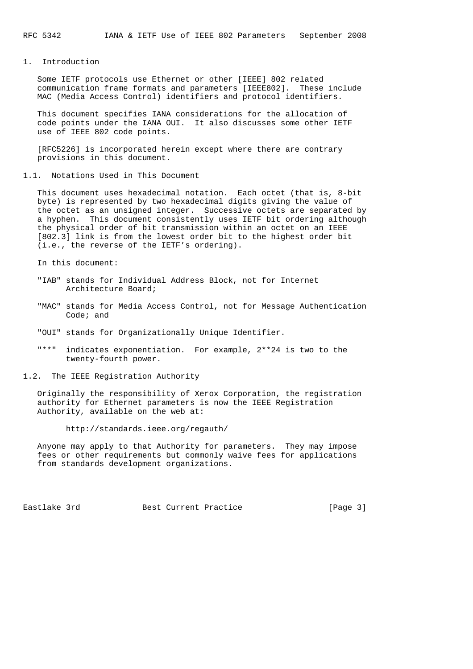1. Introduction

 Some IETF protocols use Ethernet or other [IEEE] 802 related communication frame formats and parameters [IEEE802]. These include MAC (Media Access Control) identifiers and protocol identifiers.

 This document specifies IANA considerations for the allocation of code points under the IANA OUI. It also discusses some other IETF use of IEEE 802 code points.

 [RFC5226] is incorporated herein except where there are contrary provisions in this document.

1.1. Notations Used in This Document

 This document uses hexadecimal notation. Each octet (that is, 8-bit byte) is represented by two hexadecimal digits giving the value of the octet as an unsigned integer. Successive octets are separated by a hyphen. This document consistently uses IETF bit ordering although the physical order of bit transmission within an octet on an IEEE [802.3] link is from the lowest order bit to the highest order bit (i.e., the reverse of the IETF's ordering).

In this document:

- "IAB" stands for Individual Address Block, not for Internet Architecture Board;
- "MAC" stands for Media Access Control, not for Message Authentication Code; and
- "OUI" stands for Organizationally Unique Identifier.
- "\*\*" indicates exponentiation. For example, 2\*\*24 is two to the twenty-fourth power.
- 1.2. The IEEE Registration Authority

 Originally the responsibility of Xerox Corporation, the registration authority for Ethernet parameters is now the IEEE Registration Authority, available on the web at:

http://standards.ieee.org/regauth/

 Anyone may apply to that Authority for parameters. They may impose fees or other requirements but commonly waive fees for applications from standards development organizations.

Eastlake 3rd **Best Current Practice** [Page 3]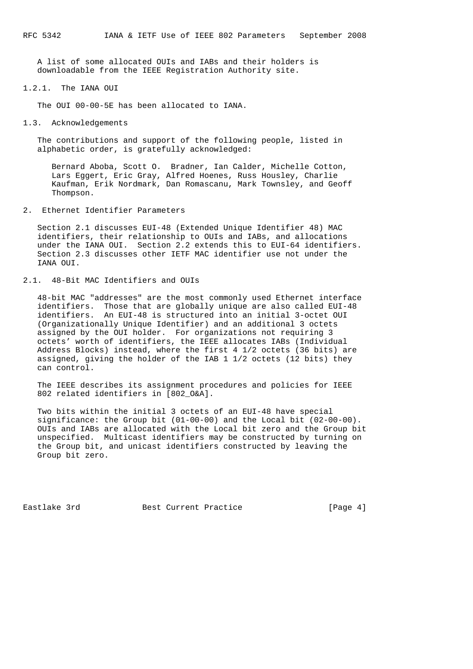A list of some allocated OUIs and IABs and their holders is downloadable from the IEEE Registration Authority site.

1.2.1. The IANA OUI

The OUI 00-00-5E has been allocated to IANA.

1.3. Acknowledgements

 The contributions and support of the following people, listed in alphabetic order, is gratefully acknowledged:

 Bernard Aboba, Scott O. Bradner, Ian Calder, Michelle Cotton, Lars Eggert, Eric Gray, Alfred Hoenes, Russ Housley, Charlie Kaufman, Erik Nordmark, Dan Romascanu, Mark Townsley, and Geoff Thompson.

2. Ethernet Identifier Parameters

 Section 2.1 discusses EUI-48 (Extended Unique Identifier 48) MAC identifiers, their relationship to OUIs and IABs, and allocations under the IANA OUI. Section 2.2 extends this to EUI-64 identifiers. Section 2.3 discusses other IETF MAC identifier use not under the TANA OIIT

# 2.1. 48-Bit MAC Identifiers and OUIs

 48-bit MAC "addresses" are the most commonly used Ethernet interface identifiers. Those that are globally unique are also called EUI-48 identifiers. An EUI-48 is structured into an initial 3-octet OUI (Organizationally Unique Identifier) and an additional 3 octets assigned by the OUI holder. For organizations not requiring 3 octets' worth of identifiers, the IEEE allocates IABs (Individual Address Blocks) instead, where the first 4 1/2 octets (36 bits) are assigned, giving the holder of the IAB 1 1/2 octets (12 bits) they can control.

 The IEEE describes its assignment procedures and policies for IEEE 802 related identifiers in [802\_O&A].

 Two bits within the initial 3 octets of an EUI-48 have special significance: the Group bit (01-00-00) and the Local bit (02-00-00). OUIs and IABs are allocated with the Local bit zero and the Group bit unspecified. Multicast identifiers may be constructed by turning on the Group bit, and unicast identifiers constructed by leaving the Group bit zero.

Eastlake 3rd **Best Current Practice** [Page 4]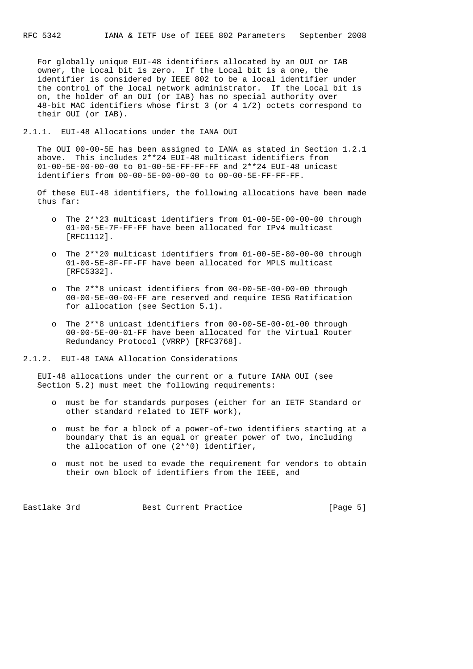For globally unique EUI-48 identifiers allocated by an OUI or IAB owner, the Local bit is zero. If the Local bit is a one, the identifier is considered by IEEE 802 to be a local identifier under the control of the local network administrator. If the Local bit is on, the holder of an OUI (or IAB) has no special authority over 48-bit MAC identifiers whose first 3 (or 4 1/2) octets correspond to their OUI (or IAB).

2.1.1. EUI-48 Allocations under the IANA OUI

 The OUI 00-00-5E has been assigned to IANA as stated in Section 1.2.1 above. This includes 2\*\*24 EUI-48 multicast identifiers from 01-00-5E-00-00-00 to 01-00-5E-FF-FF-FF and 2\*\*24 EUI-48 unicast identifiers from 00-00-5E-00-00-00 to 00-00-5E-FF-FF-FF.

 Of these EUI-48 identifiers, the following allocations have been made thus far:

- o The 2\*\*23 multicast identifiers from 01-00-5E-00-00-00 through 01-00-5E-7F-FF-FF have been allocated for IPv4 multicast [RFC1112].
- o The 2\*\*20 multicast identifiers from 01-00-5E-80-00-00 through 01-00-5E-8F-FF-FF have been allocated for MPLS multicast [RFC5332].
- o The 2\*\*8 unicast identifiers from 00-00-5E-00-00-00 through 00-00-5E-00-00-FF are reserved and require IESG Ratification for allocation (see Section 5.1).
- o The 2\*\*8 unicast identifiers from 00-00-5E-00-01-00 through 00-00-5E-00-01-FF have been allocated for the Virtual Router Redundancy Protocol (VRRP) [RFC3768].

2.1.2. EUI-48 IANA Allocation Considerations

 EUI-48 allocations under the current or a future IANA OUI (see Section 5.2) must meet the following requirements:

- o must be for standards purposes (either for an IETF Standard or other standard related to IETF work),
- o must be for a block of a power-of-two identifiers starting at a boundary that is an equal or greater power of two, including the allocation of one (2\*\*0) identifier,
- o must not be used to evade the requirement for vendors to obtain their own block of identifiers from the IEEE, and

Eastlake 3rd **Best Current Practice** [Page 5]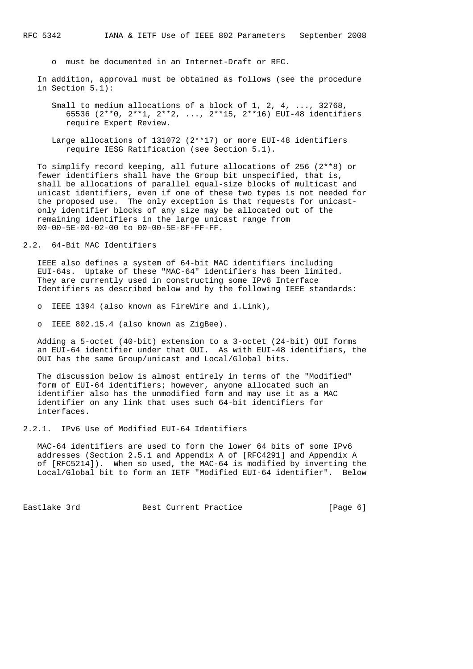o must be documented in an Internet-Draft or RFC.

 In addition, approval must be obtained as follows (see the procedure in Section 5.1):

 Small to medium allocations of a block of 1, 2, 4, ..., 32768, 65536 (2\*\*0, 2\*\*1, 2\*\*2, ..., 2\*\*15, 2\*\*16) EUI-48 identifiers require Expert Review.

 Large allocations of 131072 (2\*\*17) or more EUI-48 identifiers require IESG Ratification (see Section 5.1).

 To simplify record keeping, all future allocations of 256 (2\*\*8) or fewer identifiers shall have the Group bit unspecified, that is, shall be allocations of parallel equal-size blocks of multicast and unicast identifiers, even if one of these two types is not needed for the proposed use. The only exception is that requests for unicast only identifier blocks of any size may be allocated out of the remaining identifiers in the large unicast range from 00-00-5E-00-02-00 to 00-00-5E-8F-FF-FF.

2.2. 64-Bit MAC Identifiers

 IEEE also defines a system of 64-bit MAC identifiers including EUI-64s. Uptake of these "MAC-64" identifiers has been limited. They are currently used in constructing some IPv6 Interface Identifiers as described below and by the following IEEE standards:

o IEEE 1394 (also known as FireWire and i.Link),

o IEEE 802.15.4 (also known as ZigBee).

 Adding a 5-octet (40-bit) extension to a 3-octet (24-bit) OUI forms an EUI-64 identifier under that OUI. As with EUI-48 identifiers, the OUI has the same Group/unicast and Local/Global bits.

 The discussion below is almost entirely in terms of the "Modified" form of EUI-64 identifiers; however, anyone allocated such an identifier also has the unmodified form and may use it as a MAC identifier on any link that uses such 64-bit identifiers for interfaces.

2.2.1. IPv6 Use of Modified EUI-64 Identifiers

 MAC-64 identifiers are used to form the lower 64 bits of some IPv6 addresses (Section 2.5.1 and Appendix A of [RFC4291] and Appendix A of [RFC5214]). When so used, the MAC-64 is modified by inverting the Local/Global bit to form an IETF "Modified EUI-64 identifier". Below

Eastlake 3rd **Best Current Practice** [Page 6]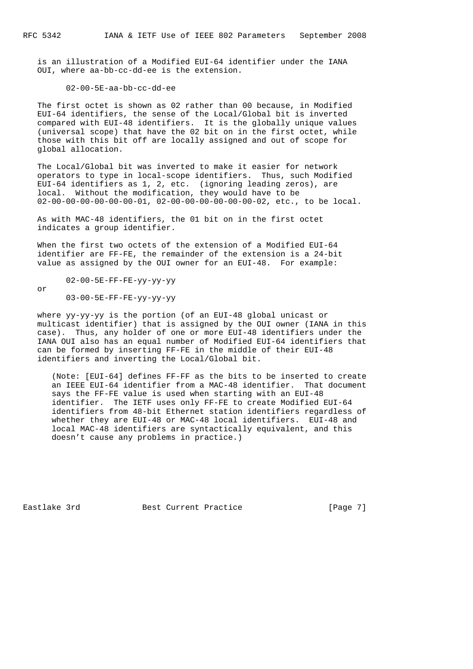or

 is an illustration of a Modified EUI-64 identifier under the IANA OUI, where aa-bb-cc-dd-ee is the extension.

#### 02-00-5E-aa-bb-cc-dd-ee

 The first octet is shown as 02 rather than 00 because, in Modified EUI-64 identifiers, the sense of the Local/Global bit is inverted compared with EUI-48 identifiers. It is the globally unique values (universal scope) that have the 02 bit on in the first octet, while those with this bit off are locally assigned and out of scope for global allocation.

 The Local/Global bit was inverted to make it easier for network operators to type in local-scope identifiers. Thus, such Modified EUI-64 identifiers as 1, 2, etc. (ignoring leading zeros), are local. Without the modification, they would have to be 02-00-00-00-00-00-00-01, 02-00-00-00-00-00-00-02, etc., to be local.

 As with MAC-48 identifiers, the 01 bit on in the first octet indicates a group identifier.

When the first two octets of the extension of a Modified EUI-64 identifier are FF-FE, the remainder of the extension is a 24-bit value as assigned by the OUI owner for an EUI-48. For example:

02-00-5E-FF-FE-yy-yy-yy

03-00-5E-FF-FE-yy-yy-yy

 where yy-yy-yy is the portion (of an EUI-48 global unicast or multicast identifier) that is assigned by the OUI owner (IANA in this case). Thus, any holder of one or more EUI-48 identifiers under the IANA OUI also has an equal number of Modified EUI-64 identifiers that can be formed by inserting FF-FE in the middle of their EUI-48 identifiers and inverting the Local/Global bit.

 (Note: [EUI-64] defines FF-FF as the bits to be inserted to create an IEEE EUI-64 identifier from a MAC-48 identifier. That document says the FF-FE value is used when starting with an EUI-48 identifier. The IETF uses only FF-FE to create Modified EUI-64 identifiers from 48-bit Ethernet station identifiers regardless of whether they are EUI-48 or MAC-48 local identifiers. EUI-48 and local MAC-48 identifiers are syntactically equivalent, and this doesn't cause any problems in practice.)

Eastlake 3rd **Best Current Practice** [Page 7]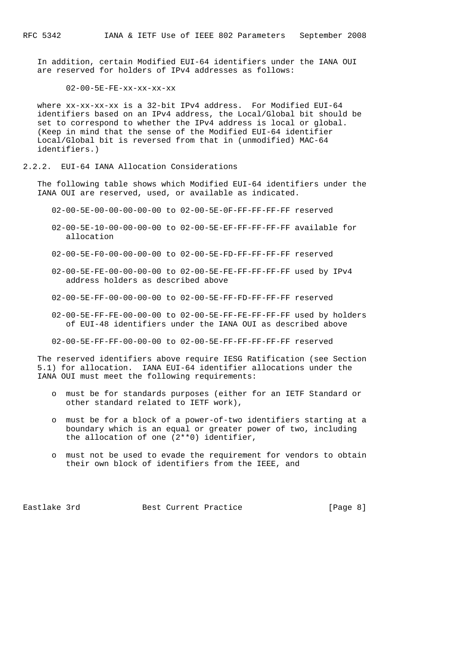In addition, certain Modified EUI-64 identifiers under the IANA OUI are reserved for holders of IPv4 addresses as follows:

02-00-5E-FE-xx-xx-xx-xx

where  $xx-xx-xx-xx$  is a 32-bit IPv4 address. For Modified EUI-64 identifiers based on an IPv4 address, the Local/Global bit should be set to correspond to whether the IPv4 address is local or global. (Keep in mind that the sense of the Modified EUI-64 identifier Local/Global bit is reversed from that in (unmodified) MAC-64 identifiers.)

#### 2.2.2. EUI-64 IANA Allocation Considerations

 The following table shows which Modified EUI-64 identifiers under the IANA OUI are reserved, used, or available as indicated.

02-00-5E-00-00-00-00-00 to 02-00-5E-0F-FF-FF-FF-FF reserved

- 02-00-5E-10-00-00-00-00 to 02-00-5E-EF-FF-FF-FF-FF available for allocation
- 02-00-5E-F0-00-00-00-00 to 02-00-5E-FD-FF-FF-FF-FF reserved
- 02-00-5E-FE-00-00-00-00 to 02-00-5E-FE-FF-FF-FF-FF used by IPv4 address holders as described above

02-00-5E-FF-00-00-00-00 to 02-00-5E-FF-FD-FF-FF-FF reserved

- 02-00-5E-FF-FE-00-00-00 to 02-00-5E-FF-FE-FF-FF-FF used by holders of EUI-48 identifiers under the IANA OUI as described above
- 02-00-5E-FF-FF-00-00-00 to 02-00-5E-FF-FF-FF-FF-FF reserved

 The reserved identifiers above require IESG Ratification (see Section 5.1) for allocation. IANA EUI-64 identifier allocations under the IANA OUI must meet the following requirements:

- o must be for standards purposes (either for an IETF Standard or other standard related to IETF work),
- o must be for a block of a power-of-two identifiers starting at a boundary which is an equal or greater power of two, including the allocation of one (2\*\*0) identifier,
- o must not be used to evade the requirement for vendors to obtain their own block of identifiers from the IEEE, and

Eastlake 3rd **Best Current Practice** [Page 8]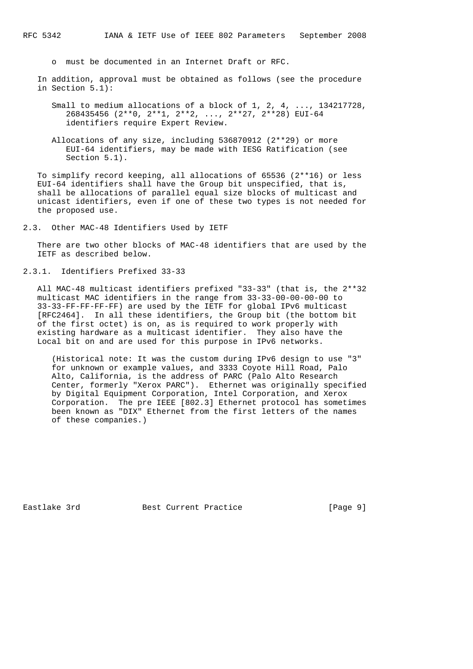o must be documented in an Internet Draft or RFC.

 In addition, approval must be obtained as follows (see the procedure in Section 5.1):

 Small to medium allocations of a block of 1, 2, 4, ..., 134217728, 268435456 (2\*\*0, 2\*\*1, 2\*\*2, ..., 2\*\*27, 2\*\*28) EUI-64 identifiers require Expert Review.

 Allocations of any size, including 536870912 (2\*\*29) or more EUI-64 identifiers, may be made with IESG Ratification (see Section 5.1).

 To simplify record keeping, all allocations of 65536 (2\*\*16) or less EUI-64 identifiers shall have the Group bit unspecified, that is, shall be allocations of parallel equal size blocks of multicast and unicast identifiers, even if one of these two types is not needed for the proposed use.

2.3. Other MAC-48 Identifiers Used by IETF

 There are two other blocks of MAC-48 identifiers that are used by the IETF as described below.

2.3.1. Identifiers Prefixed 33-33

 All MAC-48 multicast identifiers prefixed "33-33" (that is, the 2\*\*32 multicast MAC identifiers in the range from 33-33-00-00-00-00 to 33-33-FF-FF-FF-FF) are used by the IETF for global IPv6 multicast [RFC2464]. In all these identifiers, the Group bit (the bottom bit of the first octet) is on, as is required to work properly with existing hardware as a multicast identifier. They also have the Local bit on and are used for this purpose in IPv6 networks.

 (Historical note: It was the custom during IPv6 design to use "3" for unknown or example values, and 3333 Coyote Hill Road, Palo Alto, California, is the address of PARC (Palo Alto Research Center, formerly "Xerox PARC"). Ethernet was originally specified by Digital Equipment Corporation, Intel Corporation, and Xerox Corporation. The pre IEEE [802.3] Ethernet protocol has sometimes been known as "DIX" Ethernet from the first letters of the names of these companies.)

Eastlake 3rd **Best Current Practice** [Page 9]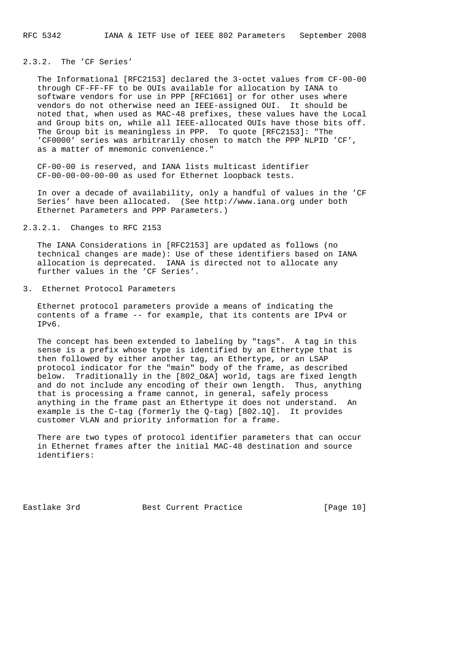## 2.3.2. The 'CF Series'

 The Informational [RFC2153] declared the 3-octet values from CF-00-00 through CF-FF-FF to be OUIs available for allocation by IANA to software vendors for use in PPP [RFC1661] or for other uses where vendors do not otherwise need an IEEE-assigned OUI. It should be noted that, when used as MAC-48 prefixes, these values have the Local and Group bits on, while all IEEE-allocated OUIs have those bits off. The Group bit is meaningless in PPP. To quote [RFC2153]: "The 'CF0000' series was arbitrarily chosen to match the PPP NLPID 'CF', as a matter of mnemonic convenience."

 CF-00-00 is reserved, and IANA lists multicast identifier CF-00-00-00-00-00 as used for Ethernet loopback tests.

 In over a decade of availability, only a handful of values in the 'CF Series' have been allocated. (See http://www.iana.org under both Ethernet Parameters and PPP Parameters.)

### 2.3.2.1. Changes to RFC 2153

 The IANA Considerations in [RFC2153] are updated as follows (no technical changes are made): Use of these identifiers based on IANA allocation is deprecated. IANA is directed not to allocate any further values in the 'CF Series'.

3. Ethernet Protocol Parameters

 Ethernet protocol parameters provide a means of indicating the contents of a frame -- for example, that its contents are IPv4 or IPv6.

 The concept has been extended to labeling by "tags". A tag in this sense is a prefix whose type is identified by an Ethertype that is then followed by either another tag, an Ethertype, or an LSAP protocol indicator for the "main" body of the frame, as described below. Traditionally in the [802\_O&A] world, tags are fixed length and do not include any encoding of their own length. Thus, anything that is processing a frame cannot, in general, safely process anything in the frame past an Ethertype it does not understand. An example is the C-tag (formerly the Q-tag) [802.1Q]. It provides customer VLAN and priority information for a frame.

 There are two types of protocol identifier parameters that can occur in Ethernet frames after the initial MAC-48 destination and source identifiers:

Eastlake 3rd **Best Current Practice** [Page 10]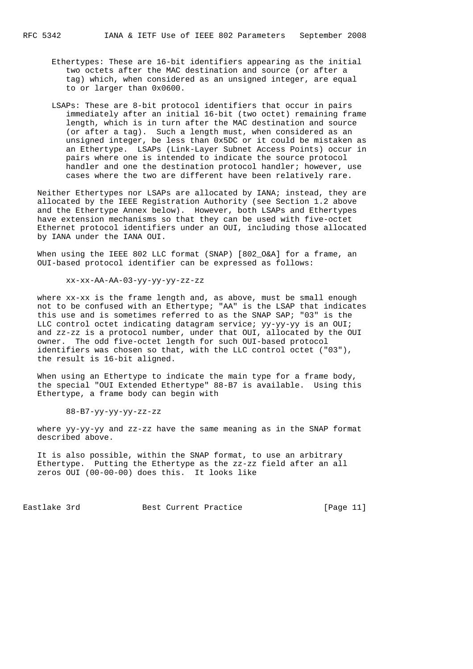- Ethertypes: These are 16-bit identifiers appearing as the initial two octets after the MAC destination and source (or after a tag) which, when considered as an unsigned integer, are equal to or larger than 0x0600.
- LSAPs: These are 8-bit protocol identifiers that occur in pairs immediately after an initial 16-bit (two octet) remaining frame length, which is in turn after the MAC destination and source (or after a tag). Such a length must, when considered as an unsigned integer, be less than 0x5DC or it could be mistaken as an Ethertype. LSAPs (Link-Layer Subnet Access Points) occur in pairs where one is intended to indicate the source protocol handler and one the destination protocol handler; however, use cases where the two are different have been relatively rare.

 Neither Ethertypes nor LSAPs are allocated by IANA; instead, they are allocated by the IEEE Registration Authority (see Section 1.2 above and the Ethertype Annex below). However, both LSAPs and Ethertypes have extension mechanisms so that they can be used with five-octet Ethernet protocol identifiers under an OUI, including those allocated by IANA under the IANA OUI.

 When using the IEEE 802 LLC format (SNAP) [802\_O&A] for a frame, an OUI-based protocol identifier can be expressed as follows:

xx-xx-AA-AA-03-yy-yy-yy-zz-zz

 where xx-xx is the frame length and, as above, must be small enough not to be confused with an Ethertype; "AA" is the LSAP that indicates this use and is sometimes referred to as the SNAP SAP; "03" is the LLC control octet indicating datagram service; yy-yy-yy is an OUI; and zz-zz is a protocol number, under that OUI, allocated by the OUI owner. The odd five-octet length for such OUI-based protocol identifiers was chosen so that, with the LLC control octet ("03"), the result is 16-bit aligned.

When using an Ethertype to indicate the main type for a frame body, the special "OUI Extended Ethertype" 88-B7 is available. Using this Ethertype, a frame body can begin with

88-B7-yy-yy-yy-zz-zz

where yy-yy-yy and zz-zz have the same meaning as in the SNAP format described above.

 It is also possible, within the SNAP format, to use an arbitrary Ethertype. Putting the Ethertype as the zz-zz field after an all zeros OUI (00-00-00) does this. It looks like

Eastlake 3rd **Best Current Practice** [Page 11]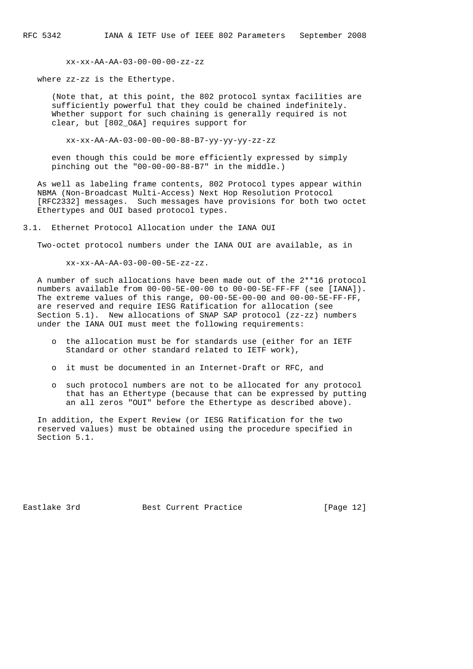xx-xx-AA-AA-03-00-00-00-zz-zz

where zz-zz is the Ethertype.

 (Note that, at this point, the 802 protocol syntax facilities are sufficiently powerful that they could be chained indefinitely. Whether support for such chaining is generally required is not clear, but [802\_O&A] requires support for

xx-xx-AA-AA-03-00-00-00-88-B7-yy-yy-yy-zz-zz

 even though this could be more efficiently expressed by simply pinching out the "00-00-00-88-B7" in the middle.)

 As well as labeling frame contents, 802 Protocol types appear within NBMA (Non-Broadcast Multi-Access) Next Hop Resolution Protocol [RFC2332] messages. Such messages have provisions for both two octet Ethertypes and OUI based protocol types.

3.1. Ethernet Protocol Allocation under the IANA OUI

Two-octet protocol numbers under the IANA OUI are available, as in

xx-xx-AA-AA-03-00-00-5E-zz-zz.

 A number of such allocations have been made out of the 2\*\*16 protocol numbers available from 00-00-5E-00-00 to 00-00-5E-FF-FF (see [IANA]). The extreme values of this range, 00-00-5E-00-00 and 00-00-5E-FF-FF, are reserved and require IESG Ratification for allocation (see Section 5.1). New allocations of SNAP SAP protocol (zz-zz) numbers under the IANA OUI must meet the following requirements:

- o the allocation must be for standards use (either for an IETF Standard or other standard related to IETF work),
- o it must be documented in an Internet-Draft or RFC, and
- o such protocol numbers are not to be allocated for any protocol that has an Ethertype (because that can be expressed by putting an all zeros "OUI" before the Ethertype as described above).

 In addition, the Expert Review (or IESG Ratification for the two reserved values) must be obtained using the procedure specified in Section 5.1.

Eastlake 3rd **Best Current Practice** [Page 12]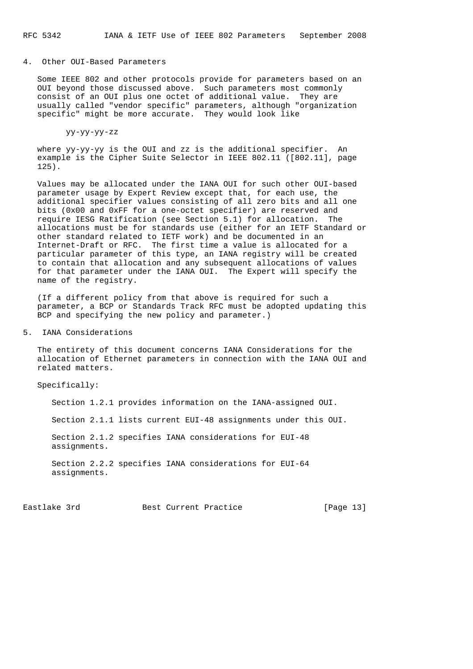#### 4. Other OUI-Based Parameters

 Some IEEE 802 and other protocols provide for parameters based on an OUI beyond those discussed above. Such parameters most commonly consist of an OUI plus one octet of additional value. They are usually called "vendor specific" parameters, although "organization specific" might be more accurate. They would look like

yy-yy-yy-zz

 where yy-yy-yy is the OUI and zz is the additional specifier. An example is the Cipher Suite Selector in IEEE 802.11 ([802.11], page 125).

 Values may be allocated under the IANA OUI for such other OUI-based parameter usage by Expert Review except that, for each use, the additional specifier values consisting of all zero bits and all one bits (0x00 and 0xFF for a one-octet specifier) are reserved and require IESG Ratification (see Section 5.1) for allocation. The allocations must be for standards use (either for an IETF Standard or other standard related to IETF work) and be documented in an Internet-Draft or RFC. The first time a value is allocated for a particular parameter of this type, an IANA registry will be created to contain that allocation and any subsequent allocations of values for that parameter under the IANA OUI. The Expert will specify the name of the registry.

 (If a different policy from that above is required for such a parameter, a BCP or Standards Track RFC must be adopted updating this BCP and specifying the new policy and parameter.)

#### 5. IANA Considerations

 The entirety of this document concerns IANA Considerations for the allocation of Ethernet parameters in connection with the IANA OUI and related matters.

Specifically:

Section 1.2.1 provides information on the IANA-assigned OUI.

Section 2.1.1 lists current EUI-48 assignments under this OUI.

 Section 2.1.2 specifies IANA considerations for EUI-48 assignments.

 Section 2.2.2 specifies IANA considerations for EUI-64 assignments.

Eastlake 3rd Best Current Practice [Page 13]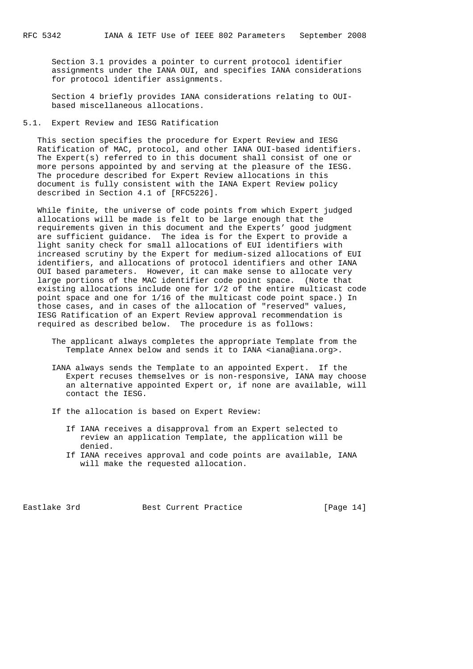Section 3.1 provides a pointer to current protocol identifier assignments under the IANA OUI, and specifies IANA considerations for protocol identifier assignments.

 Section 4 briefly provides IANA considerations relating to OUI based miscellaneous allocations.

#### 5.1. Expert Review and IESG Ratification

 This section specifies the procedure for Expert Review and IESG Ratification of MAC, protocol, and other IANA OUI-based identifiers. The Expert(s) referred to in this document shall consist of one or more persons appointed by and serving at the pleasure of the IESG. The procedure described for Expert Review allocations in this document is fully consistent with the IANA Expert Review policy described in Section 4.1 of [RFC5226].

 While finite, the universe of code points from which Expert judged allocations will be made is felt to be large enough that the requirements given in this document and the Experts' good judgment are sufficient guidance. The idea is for the Expert to provide a light sanity check for small allocations of EUI identifiers with increased scrutiny by the Expert for medium-sized allocations of EUI identifiers, and allocations of protocol identifiers and other IANA OUI based parameters. However, it can make sense to allocate very large portions of the MAC identifier code point space. (Note that existing allocations include one for 1/2 of the entire multicast code point space and one for 1/16 of the multicast code point space.) In those cases, and in cases of the allocation of "reserved" values, IESG Ratification of an Expert Review approval recommendation is required as described below. The procedure is as follows:

- The applicant always completes the appropriate Template from the Template Annex below and sends it to IANA <iana@iana.org>.
- IANA always sends the Template to an appointed Expert. If the Expert recuses themselves or is non-responsive, IANA may choose an alternative appointed Expert or, if none are available, will contact the IESG.
- If the allocation is based on Expert Review:
	- If IANA receives a disapproval from an Expert selected to review an application Template, the application will be denied.
	- If IANA receives approval and code points are available, IANA will make the requested allocation.

Eastlake 3rd Best Current Practice [Page 14]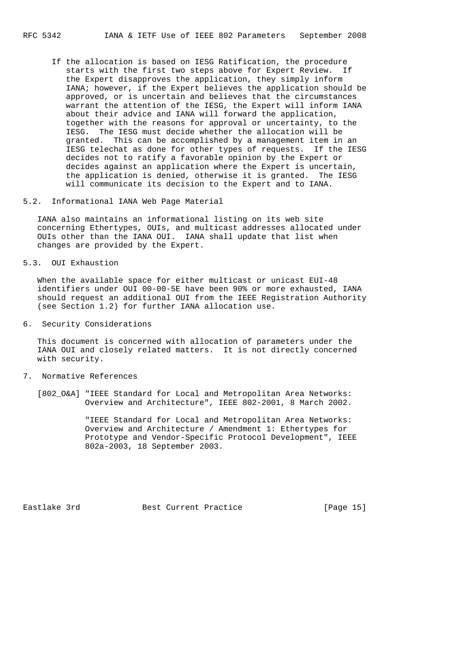If the allocation is based on IESG Ratification, the procedure starts with the first two steps above for Expert Review. If the Expert disapproves the application, they simply inform IANA; however, if the Expert believes the application should be approved, or is uncertain and believes that the circumstances warrant the attention of the IESG, the Expert will inform IANA about their advice and IANA will forward the application, together with the reasons for approval or uncertainty, to the IESG. The IESG must decide whether the allocation will be granted. This can be accomplished by a management item in an IESG telechat as done for other types of requests. If the IESG decides not to ratify a favorable opinion by the Expert or decides against an application where the Expert is uncertain, the application is denied, otherwise it is granted. The IESG will communicate its decision to the Expert and to IANA.

5.2. Informational IANA Web Page Material

 IANA also maintains an informational listing on its web site concerning Ethertypes, OUIs, and multicast addresses allocated under OUIs other than the IANA OUI. IANA shall update that list when changes are provided by the Expert.

5.3. OUI Exhaustion

When the available space for either multicast or unicast EUI-48 identifiers under OUI 00-00-5E have been 90% or more exhausted, IANA should request an additional OUI from the IEEE Registration Authority (see Section 1.2) for further IANA allocation use.

6. Security Considerations

 This document is concerned with allocation of parameters under the IANA OUI and closely related matters. It is not directly concerned with security.

- 7. Normative References
	- [802\_O&A] "IEEE Standard for Local and Metropolitan Area Networks: Overview and Architecture", IEEE 802-2001, 8 March 2002.

 "IEEE Standard for Local and Metropolitan Area Networks: Overview and Architecture / Amendment 1: Ethertypes for Prototype and Vendor-Specific Protocol Development", IEEE 802a-2003, 18 September 2003.

Eastlake 3rd Best Current Practice [Page 15]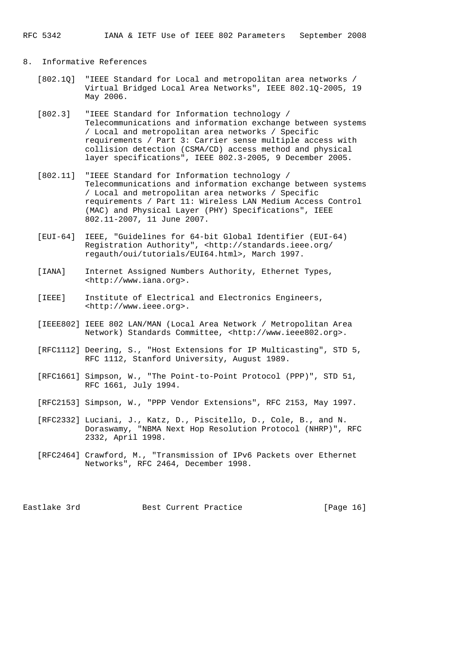## 8. Informative References

- [802.1Q] "IEEE Standard for Local and metropolitan area networks / Virtual Bridged Local Area Networks", IEEE 802.1Q-2005, 19 May 2006.
- [802.3] "IEEE Standard for Information technology / Telecommunications and information exchange between systems / Local and metropolitan area networks / Specific requirements / Part 3: Carrier sense multiple access with collision detection (CSMA/CD) access method and physical layer specifications", IEEE 802.3-2005, 9 December 2005.
- [802.11] "IEEE Standard for Information technology / Telecommunications and information exchange between systems / Local and metropolitan area networks / Specific requirements / Part 11: Wireless LAN Medium Access Control (MAC) and Physical Layer (PHY) Specifications", IEEE 802.11-2007, 11 June 2007.
- [EUI-64] IEEE, "Guidelines for 64-bit Global Identifier (EUI-64) Registration Authority", <http://standards.ieee.org/ regauth/oui/tutorials/EUI64.html>, March 1997.
- [IANA] Internet Assigned Numbers Authority, Ethernet Types, <http://www.iana.org>.
- [IEEE] Institute of Electrical and Electronics Engineers, <http://www.ieee.org>.
- [IEEE802] IEEE 802 LAN/MAN (Local Area Network / Metropolitan Area Network) Standards Committee, <http://www.ieee802.org>.
- [RFC1112] Deering, S., "Host Extensions for IP Multicasting", STD 5, RFC 1112, Stanford University, August 1989.
- [RFC1661] Simpson, W., "The Point-to-Point Protocol (PPP)", STD 51, RFC 1661, July 1994.
- [RFC2153] Simpson, W., "PPP Vendor Extensions", RFC 2153, May 1997.
- [RFC2332] Luciani, J., Katz, D., Piscitello, D., Cole, B., and N. Doraswamy, "NBMA Next Hop Resolution Protocol (NHRP)", RFC 2332, April 1998.
- [RFC2464] Crawford, M., "Transmission of IPv6 Packets over Ethernet Networks", RFC 2464, December 1998.

Eastlake 3rd **Best Current Practice** [Page 16]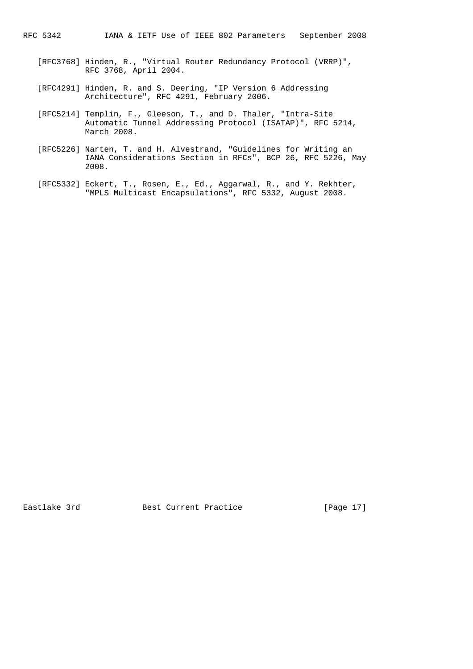- [RFC3768] Hinden, R., "Virtual Router Redundancy Protocol (VRRP)", RFC 3768, April 2004.
- [RFC4291] Hinden, R. and S. Deering, "IP Version 6 Addressing Architecture", RFC 4291, February 2006.
- [RFC5214] Templin, F., Gleeson, T., and D. Thaler, "Intra-Site Automatic Tunnel Addressing Protocol (ISATAP)", RFC 5214, March 2008.
- [RFC5226] Narten, T. and H. Alvestrand, "Guidelines for Writing an IANA Considerations Section in RFCs", BCP 26, RFC 5226, May 2008.
- [RFC5332] Eckert, T., Rosen, E., Ed., Aggarwal, R., and Y. Rekhter, "MPLS Multicast Encapsulations", RFC 5332, August 2008.

Eastlake 3rd **Best Current Practice** [Page 17]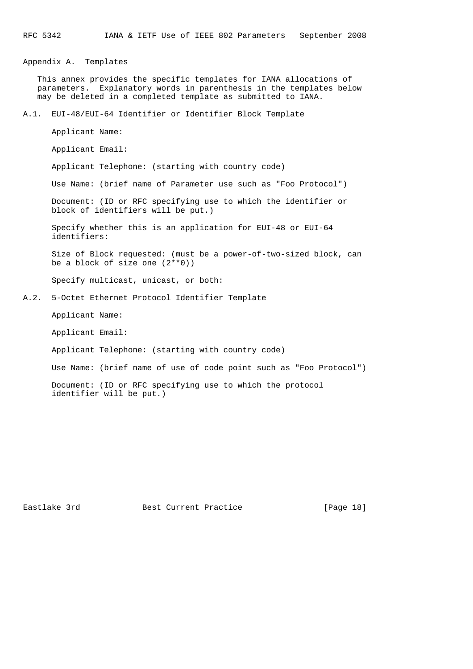Appendix A. Templates

 This annex provides the specific templates for IANA allocations of parameters. Explanatory words in parenthesis in the templates below may be deleted in a completed template as submitted to IANA.

A.1. EUI-48/EUI-64 Identifier or Identifier Block Template

Applicant Name:

Applicant Email:

Applicant Telephone: (starting with country code)

Use Name: (brief name of Parameter use such as "Foo Protocol")

 Document: (ID or RFC specifying use to which the identifier or block of identifiers will be put.)

 Specify whether this is an application for EUI-48 or EUI-64 identifiers:

 Size of Block requested: (must be a power-of-two-sized block, can be a block of size one (2\*\*0))

Specify multicast, unicast, or both:

A.2. 5-Octet Ethernet Protocol Identifier Template

Applicant Name:

Applicant Email:

Applicant Telephone: (starting with country code)

Use Name: (brief name of use of code point such as "Foo Protocol")

 Document: (ID or RFC specifying use to which the protocol identifier will be put.)

Eastlake 3rd Best Current Practice [Page 18]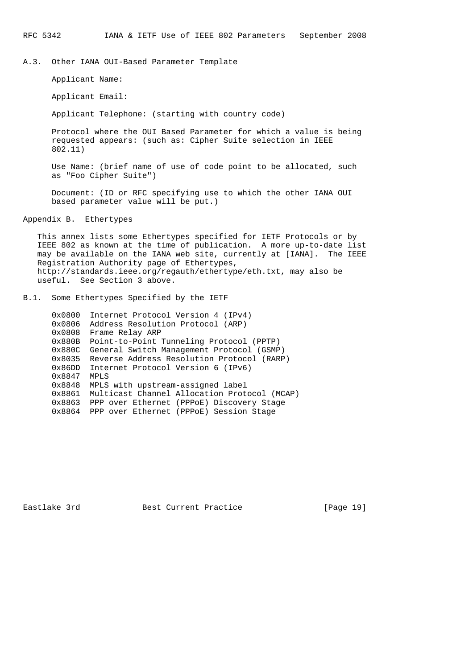A.3. Other IANA OUI-Based Parameter Template

Applicant Name:

Applicant Email:

Applicant Telephone: (starting with country code)

 Protocol where the OUI Based Parameter for which a value is being requested appears: (such as: Cipher Suite selection in IEEE 802.11)

 Use Name: (brief name of use of code point to be allocated, such as "Foo Cipher Suite")

 Document: (ID or RFC specifying use to which the other IANA OUI based parameter value will be put.)

Appendix B. Ethertypes

 This annex lists some Ethertypes specified for IETF Protocols or by IEEE 802 as known at the time of publication. A more up-to-date list may be available on the IANA web site, currently at [IANA]. The IEEE Registration Authority page of Ethertypes, http://standards.ieee.org/regauth/ethertype/eth.txt, may also be useful. See Section 3 above.

B.1. Some Ethertypes Specified by the IETF

 0x0800 Internet Protocol Version 4 (IPv4) 0x0806 Address Resolution Protocol (ARP) 0x0808 Frame Relay ARP 0x880B Point-to-Point Tunneling Protocol (PPTP) 0x880C General Switch Management Protocol (GSMP) 0x8035 Reverse Address Resolution Protocol (RARP) 0x86DD Internet Protocol Version 6 (IPv6) 0x8847 MPLS 0x8848 MPLS with upstream-assigned label 0x8861 Multicast Channel Allocation Protocol (MCAP) 0x8863 PPP over Ethernet (PPPoE) Discovery Stage 0x8864 PPP over Ethernet (PPPoE) Session Stage

Eastlake 3rd Best Current Practice [Page 19]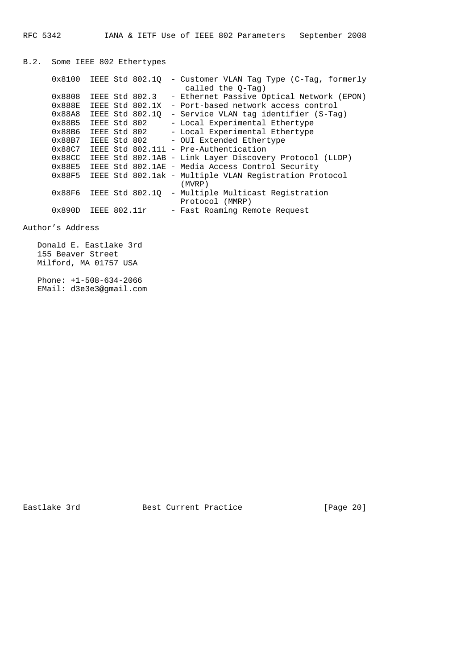B.2. Some IEEE 802 Ethertypes 0x8100 IEEE Std 802.1Q - Customer VLAN Tag Type (C-Tag, formerly called the Q-Tag) 0x8808 IEEE Std 802.3 - Ethernet Passive Optical Network (EPON) 0x888E IEEE Std 802.1X - Port-based network access control 0x88A8 IEEE Std 802.1Q - Service VLAN tag identifier (S-Tag) 0x88B5 IEEE Std 802 - Local Experimental Ethertype 0x88B6 IEEE Std 802 - Local Experimental Ethertype 0x88B7 IEEE Std 802 - OUI Extended Ethertype 0x88C7 IEEE Std 802.11i - Pre-Authentication 0x88CC IEEE Std 802.1AB - Link Layer Discovery Protocol (LLDP) 0x88E5 IEEE Std 802.1AE - Media Access Control Security 0x88F5 IEEE Std 802.1ak - Multiple VLAN Registration Protocol (MVRP) 0x88F6 IEEE Std 802.1Q - Multiple Multicast Registration Protocol (MMRP)  $0x890D$  IEEE  $802.11r$  - Fast Roaming Remote Request

Author's Address

 Donald E. Eastlake 3rd 155 Beaver Street Milford, MA 01757 USA

 Phone: +1-508-634-2066 EMail: d3e3e3@gmail.com

Eastlake 3rd **Best Current Practice** [Page 20]